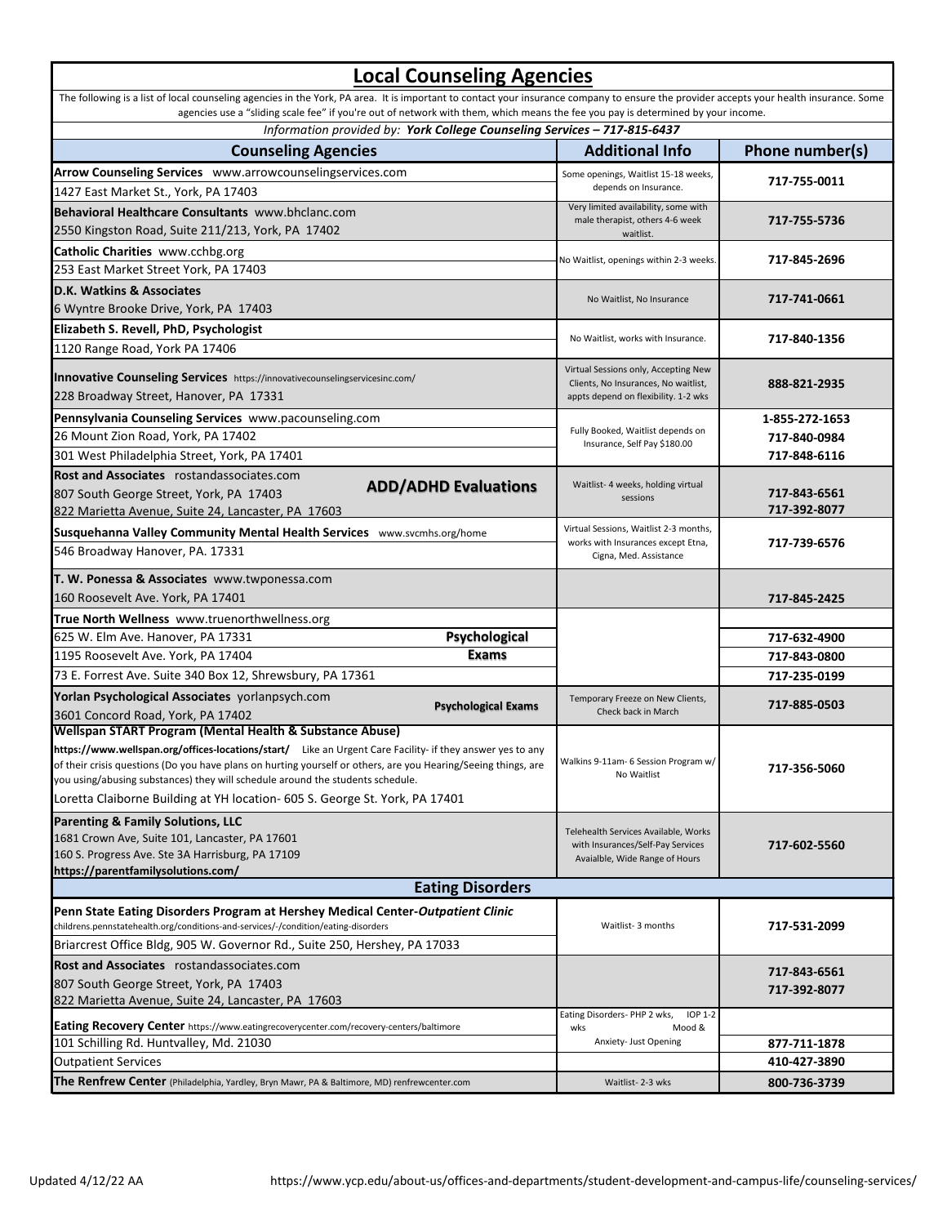## **Local Counseling Agencies**

| The following is a list of local counseling agencies in the York, PA area. It is important to contact your insurance company to ensure the provider accepts your health insurance. Some<br>agencies use a "sliding scale fee" if you're out of network with them, which means the fee you pay is determined by your income. |                                                                           |                 |  |
|-----------------------------------------------------------------------------------------------------------------------------------------------------------------------------------------------------------------------------------------------------------------------------------------------------------------------------|---------------------------------------------------------------------------|-----------------|--|
| Information provided by: York College Counseling Services - 717-815-6437                                                                                                                                                                                                                                                    |                                                                           |                 |  |
| <b>Counseling Agencies</b>                                                                                                                                                                                                                                                                                                  | <b>Additional Info</b>                                                    | Phone number(s) |  |
| Arrow Counseling Services www.arrowcounselingservices.com                                                                                                                                                                                                                                                                   | Some openings, Waitlist 15-18 weeks,                                      | 717-755-0011    |  |
| 1427 East Market St., York, PA 17403                                                                                                                                                                                                                                                                                        | depends on Insurance.                                                     |                 |  |
| Behavioral Healthcare Consultants www.bhclanc.com                                                                                                                                                                                                                                                                           | Very limited availability, some with<br>male therapist, others 4-6 week   | 717-755-5736    |  |
| 2550 Kingston Road, Suite 211/213, York, PA 17402                                                                                                                                                                                                                                                                           | waitlist.                                                                 |                 |  |
| Catholic Charities www.cchbg.org                                                                                                                                                                                                                                                                                            | No Waitlist, openings within 2-3 weeks.                                   | 717-845-2696    |  |
| 253 East Market Street York, PA 17403                                                                                                                                                                                                                                                                                       |                                                                           |                 |  |
| D.K. Watkins & Associates                                                                                                                                                                                                                                                                                                   |                                                                           |                 |  |
| 6 Wyntre Brooke Drive, York, PA 17403                                                                                                                                                                                                                                                                                       | No Waitlist, No Insurance                                                 | 717-741-0661    |  |
| Elizabeth S. Revell, PhD, Psychologist                                                                                                                                                                                                                                                                                      |                                                                           |                 |  |
| 1120 Range Road, York PA 17406                                                                                                                                                                                                                                                                                              | No Waitlist, works with Insurance.                                        | 717-840-1356    |  |
|                                                                                                                                                                                                                                                                                                                             | Virtual Sessions only, Accepting New                                      |                 |  |
| Innovative Counseling Services https://innovativecounselingservicesinc.com/                                                                                                                                                                                                                                                 | Clients, No Insurances, No waitlist,                                      | 888-821-2935    |  |
| 228 Broadway Street, Hanover, PA 17331                                                                                                                                                                                                                                                                                      | appts depend on flexibility. 1-2 wks                                      |                 |  |
| Pennsylvania Counseling Services www.pacounseling.com                                                                                                                                                                                                                                                                       |                                                                           | 1-855-272-1653  |  |
| 26 Mount Zion Road, York, PA 17402                                                                                                                                                                                                                                                                                          | Fully Booked, Waitlist depends on<br>Insurance, Self Pay \$180.00         | 717-840-0984    |  |
| 301 West Philadelphia Street, York, PA 17401                                                                                                                                                                                                                                                                                |                                                                           | 717-848-6116    |  |
| Rost and Associates rostandassociates.com                                                                                                                                                                                                                                                                                   |                                                                           |                 |  |
| <b>ADD/ADHD Evaluations</b><br>807 South George Street, York, PA 17403                                                                                                                                                                                                                                                      | Waitlist- 4 weeks, holding virtual<br>sessions                            | 717-843-6561    |  |
| 822 Marietta Avenue, Suite 24, Lancaster, PA 17603                                                                                                                                                                                                                                                                          |                                                                           | 717-392-8077    |  |
| Susquehanna Valley Community Mental Health Services www.svcmhs.org/home                                                                                                                                                                                                                                                     | Virtual Sessions, Waitlist 2-3 months,                                    |                 |  |
| 546 Broadway Hanover, PA. 17331                                                                                                                                                                                                                                                                                             | works with Insurances except Etna,<br>Cigna, Med. Assistance              | 717-739-6576    |  |
| T. W. Ponessa & Associates www.twponessa.com                                                                                                                                                                                                                                                                                |                                                                           |                 |  |
| 160 Roosevelt Ave. York, PA 17401                                                                                                                                                                                                                                                                                           |                                                                           | 717-845-2425    |  |
| True North Wellness www.truenorthwellness.org                                                                                                                                                                                                                                                                               |                                                                           |                 |  |
| Psychological<br>625 W. Elm Ave. Hanover, PA 17331                                                                                                                                                                                                                                                                          |                                                                           | 717-632-4900    |  |
| <b>Exams</b><br>1195 Roosevelt Ave. York, PA 17404                                                                                                                                                                                                                                                                          |                                                                           | 717-843-0800    |  |
| 73 E. Forrest Ave. Suite 340 Box 12, Shrewsbury, PA 17361                                                                                                                                                                                                                                                                   |                                                                           | 717-235-0199    |  |
| Yorlan Psychological Associates yorlanpsych.com                                                                                                                                                                                                                                                                             |                                                                           |                 |  |
| <b>Psychological Exams</b><br>3601 Concord Road, York, PA 17402                                                                                                                                                                                                                                                             | Temporary Freeze on New Clients,<br>Check back in March                   | 717-885-0503    |  |
| Wellspan START Program (Mental Health & Substance Abuse)                                                                                                                                                                                                                                                                    |                                                                           |                 |  |
| https://www.wellspan.org/offices-locations/start/ Like an Urgent Care Facility- if they answer yes to any                                                                                                                                                                                                                   |                                                                           |                 |  |
| of their crisis questions (Do you have plans on hurting yourself or others, are you Hearing/Seeing things, are                                                                                                                                                                                                              | Walkins 9-11am- 6 Session Program w/                                      | 717-356-5060    |  |
| you using/abusing substances) they will schedule around the students schedule.                                                                                                                                                                                                                                              | No Waitlist                                                               |                 |  |
| Loretta Claiborne Building at YH location- 605 S. George St. York, PA 17401                                                                                                                                                                                                                                                 |                                                                           |                 |  |
| <b>Parenting &amp; Family Solutions, LLC</b>                                                                                                                                                                                                                                                                                |                                                                           |                 |  |
| 1681 Crown Ave, Suite 101, Lancaster, PA 17601                                                                                                                                                                                                                                                                              | Telehealth Services Available, Works<br>with Insurances/Self-Pay Services | 717-602-5560    |  |
| 160 S. Progress Ave. Ste 3A Harrisburg, PA 17109                                                                                                                                                                                                                                                                            | Avaialble, Wide Range of Hours                                            |                 |  |
| https://parentfamilysolutions.com/                                                                                                                                                                                                                                                                                          |                                                                           |                 |  |
| <b>Eating Disorders</b>                                                                                                                                                                                                                                                                                                     |                                                                           |                 |  |
| Penn State Eating Disorders Program at Hershey Medical Center-Outpatient Clinic                                                                                                                                                                                                                                             |                                                                           |                 |  |
| childrens.pennstatehealth.org/conditions-and-services/-/condition/eating-disorders                                                                                                                                                                                                                                          | Waitlist-3 months                                                         | 717-531-2099    |  |
| Briarcrest Office Bldg, 905 W. Governor Rd., Suite 250, Hershey, PA 17033                                                                                                                                                                                                                                                   |                                                                           |                 |  |
| Rost and Associates rostandassociates.com                                                                                                                                                                                                                                                                                   |                                                                           | 717-843-6561    |  |
| 807 South George Street, York, PA 17403                                                                                                                                                                                                                                                                                     |                                                                           | 717-392-8077    |  |
| 822 Marietta Avenue, Suite 24, Lancaster, PA 17603                                                                                                                                                                                                                                                                          | Eating Disorders-PHP 2 wks,<br><b>IOP 1-2</b>                             |                 |  |
| <b>Eating Recovery Center</b> https://www.eatingrecoverycenter.com/recovery-centers/baltimore                                                                                                                                                                                                                               | wks<br>Mood &                                                             |                 |  |
| 101 Schilling Rd. Huntvalley, Md. 21030                                                                                                                                                                                                                                                                                     | Anxiety- Just Opening                                                     | 877-711-1878    |  |
| <b>Outpatient Services</b>                                                                                                                                                                                                                                                                                                  |                                                                           | 410-427-3890    |  |
| <b>The Renfrew Center</b> (Philadelphia, Yardley, Bryn Mawr, PA & Baltimore, MD) renfrewcenter.com                                                                                                                                                                                                                          | Waitlist-2-3 wks                                                          | 800-736-3739    |  |